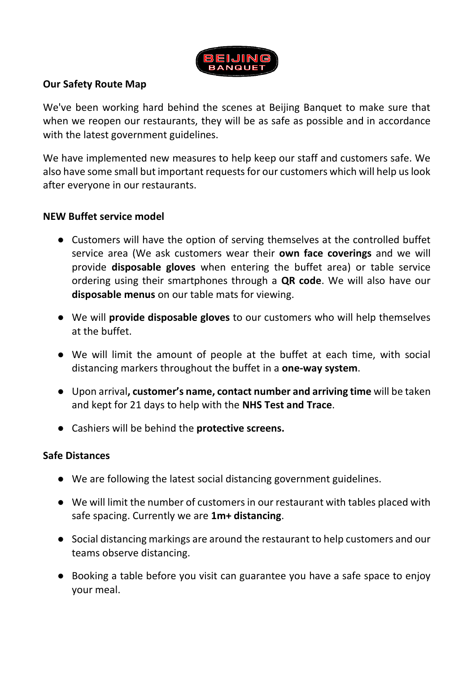

# **Our Safety Route Map**

We've been working hard behind the scenes at Beijing Banquet to make sure that when we reopen our restaurants, they will be as safe as possible and in accordance with the latest government guidelines.

We have implemented new measures to help keep our staff and customers safe. We also have some small but important requests for our customers which will help us look after everyone in our restaurants.

## **NEW Buffet service model**

- Customers will have the option of serving themselves at the controlled buffet service area (We ask customers wear their **own face coverings** and we will provide **disposable gloves** when entering the buffet area) or table service ordering using their smartphones through a **QR code**. We will also have our **disposable menus** on our table mats for viewing.
- We will **provide disposable gloves** to our customers who will help themselves at the buffet.
- We will limit the amount of people at the buffet at each time, with social distancing markers throughout the buffet in a **one-way system**.
- Upon arrival**, customer's name, contact number and arriving time** will be taken and kept for 21 days to help with the **NHS Test and Trace**.
- Cashiers will be behind the **protective screens.**

## **Safe Distances**

- We are following the latest social distancing government guidelines.
- We will limit the number of customers in our restaurant with tables placed with safe spacing. Currently we are **1m+ distancing**.
- Social distancing markings are around the restaurant to help customers and our teams observe distancing.
- Booking a table before you visit can guarantee you have a safe space to enjoy your meal.